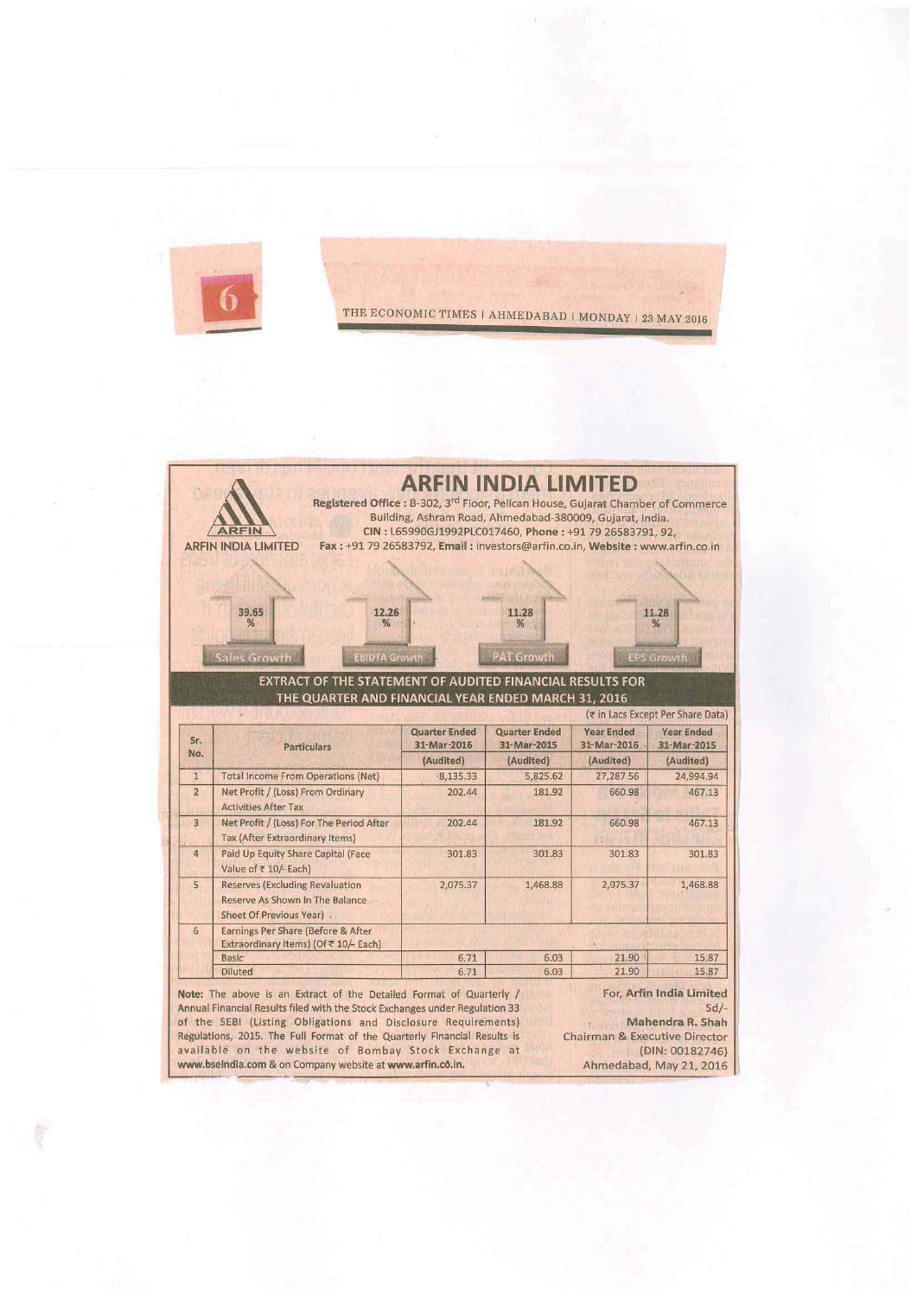